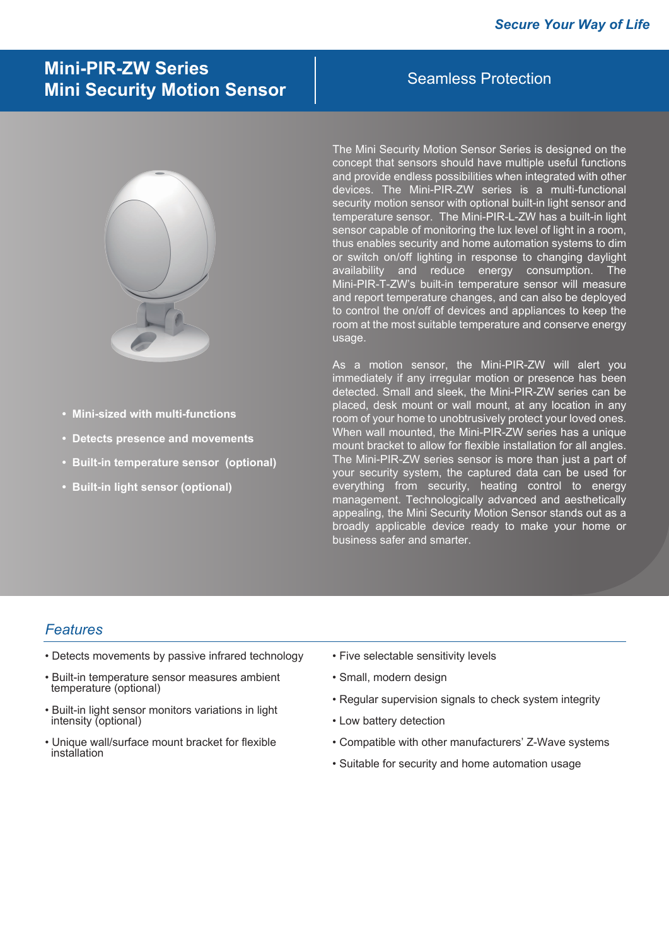# Seamless Protection **Mini-PIR-ZW Series Mini Security Motion Sensor**



- **Mini-sized with multi-functions**
- **Detects presence and movements**
- **Built-in temperature sensor (optional)**
- **Built-in light sensor (optional)**

The Mini Security Motion Sensor Series is designed on the concept that sensors should have multiple useful functions and provide endless possibilities when integrated with other devices. The Mini-PIR-ZW series is a multi-functional security motion sensor with optional built-in light sensor and temperature sensor. The Mini-PIR-L-ZW has a built-in light sensor capable of monitoring the lux level of light in a room, thus enables security and home automation systems to dim or switch on/off lighting in response to changing daylight availability and reduce energy consumption. Mini-PIR-T-ZW's built-in temperature sensor will measure and report temperature changes, and can also be deployed to control the on/off of devices and appliances to keep the room at the most suitable temperature and conserve energy usage.

As a motion sensor, the Mini-PIR-ZW will alert you immediately if any irregular motion or presence has been detected. Small and sleek, the Mini-PIR-ZW series can be placed, desk mount or wall mount, at any location in any room of your home to unobtrusively protect your loved ones. When wall mounted, the Mini-PIR-ZW series has a unique mount bracket to allow for flexible installation for all angles. The Mini-PIR-ZW series sensor is more than just a part of your security system, the captured data can be used for everything from security, heating control to energy management. Technologically advanced and aesthetically appealing, the Mini Security Motion Sensor stands out as a broadly applicable device ready to make your home or business safer and smarter.

#### *Features*

- Detects movements by passive infrared technology
- Built-in temperature sensor measures ambient temperature (optional)
- Built-in light sensor monitors variations in light intensity (optional)
- Unique wall/surface mount bracket for flexible installation
- Five selectable sensitivity levels
- Small, modern design
- Regular supervision signals to check system integrity
- Low battery detection
- Compatible with other manufacturers' Z-Wave systems
- Suitable for security and home automation usage